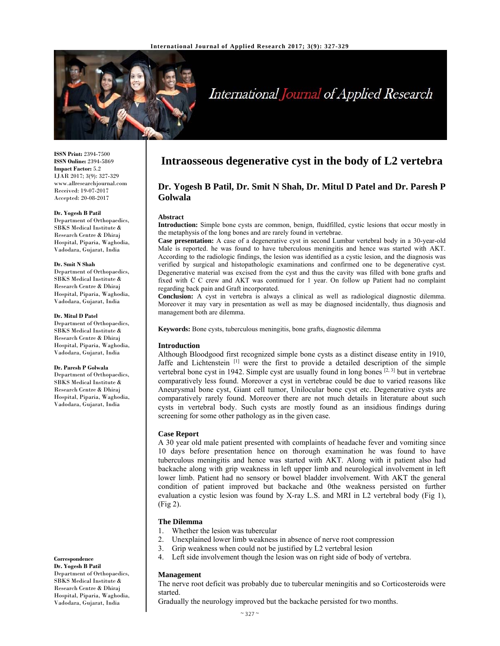

# International Journal of Applied Research

**ISSN Print:** 2394-7500 **ISSN Online:** 2394-5869 **Impact Factor:** 5.2 IJAR 2017; 3(9): 327-329 www.allresearchjournal.com Received: 19-07-2017 Accepted: 20-08-2017

#### **Dr. Yogesh B Patil**

Department of Orthopaedics, SBKS Medical Institute & Research Centre & Dhiraj Hospital, Piparia, Waghodia, Vadodara, Gujarat, India

#### **Dr. Smit N Shah**

Department of Orthopaedics, SBKS Medical Institute & Research Centre & Dhiraj Hospital, Piparia, Waghodia, Vadodara, Gujarat, India

#### **Dr. Mitul D Patel**

Department of Orthopaedics, SBKS Medical Institute & Research Centre & Dhiraj Hospital, Piparia, Waghodia, Vadodara, Gujarat, India

#### **Dr. Paresh P Golwala**

Department of Orthopaedics, SBKS Medical Institute & Research Centre & Dhiraj Hospital, Piparia, Waghodia, Vadodara, Gujarat, India

**Correspondence**

**Dr. Yogesh B Patil**  Department of Orthopaedics, SBKS Medical Institute & Research Centre & Dhiraj Hospital, Piparia, Waghodia, Vadodara, Gujarat, India

# **Intraosseous degenerative cyst in the body of L2 vertebra**

# **Dr. Yogesh B Patil, Dr. Smit N Shah, Dr. Mitul D Patel and Dr. Paresh P Golwala**

#### **Abstract**

**Introduction:** Simple bone cysts are common, benign, fluidfilled, cystic lesions that occur mostly in the metaphysis of the long bones and are rarely found in vertebrae.

**Case presentation:** A case of a degenerative cyst in second Lumbar vertebral body in a 30-year-old Male is reported. he was found to have tuberculous meningitis and hence was started with AKT. According to the radiologic findings, the lesion was identified as a cystic lesion, and the diagnosis was verified by surgical and histopathologic examinations and confirmed one to be degenerative cyst. Degenerative material was excised from the cyst and thus the cavity was filled with bone grafts and fixed with C C crew and AKT was continued for 1 year. On follow up Patient had no complaint regarding back pain and Graft incorporated.

**Conclusion:** A cyst in vertebra is always a clinical as well as radiological diagnostic dilemma. Moreover it may vary in presentation as well as may be diagnosed incidentally, thus diagnosis and management both are dilemma.

**Keywords:** Bone cysts, tuberculous meningitis, bone grafts, diagnostic dilemma

# **Introduction**

Although Bloodgood first recognized simple bone cysts as a distinct disease entity in 1910, Jaffe and Lichtenstein<sup>[1]</sup> were the first to provide a detailed description of the simple vertebral bone cyst in 1942. Simple cyst are usually found in long bones  $[2, 3]$  but in vertebrae comparatively less found. Moreover a cyst in vertebrae could be due to varied reasons like Aneurysmal bone cyst, Giant cell tumor, Unilocular bone cyst etc. Degenerative cysts are comparatively rarely found. Moreover there are not much details in literature about such cysts in vertebral body. Such cysts are mostly found as an insidious findings during screening for some other pathology as in the given case.

# **Case Report**

A 30 year old male patient presented with complaints of headache fever and vomiting since 10 days before presentation hence on thorough examination he was found to have tuberculous meningitis and hence was started with AKT. Along with it patient also had backache along with grip weakness in left upper limb and neurological involvement in left lower limb. Patient had no sensory or bowel bladder involvement. With AKT the general condition of patient improved but backache and 0the weakness persisted on further evaluation a cystic lesion was found by X-ray L.S. and MRI in L2 vertebral body (Fig 1), (Fig 2).

# **The Dilemma**

- 1. Whether the lesion was tubercular
- 2. Unexplained lower limb weakness in absence of nerve root compression
- 3. Grip weakness when could not be justified by L2 vertebral lesion
- 4. Left side involvement though the lesion was on right side of body of vertebra.

### **Management**

The nerve root deficit was probably due to tubercular meningitis and so Corticosteroids were started.

Gradually the neurology improved but the backache persisted for two months.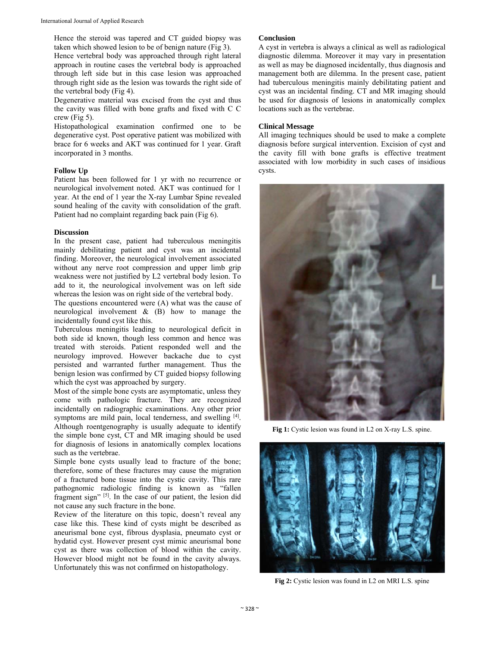Hence the steroid was tapered and CT guided biopsy was taken which showed lesion to be of benign nature (Fig 3).

Hence vertebral body was approached through right lateral approach in routine cases the vertebral body is approached through left side but in this case lesion was approached through right side as the lesion was towards the right side of the vertebral body (Fig 4).

Degenerative material was excised from the cyst and thus the cavity was filled with bone grafts and fixed with C C crew (Fig 5).

Histopathological examination confirmed one to be degenerative cyst. Post operative patient was mobilized with brace for 6 weeks and AKT was continued for 1 year. Graft incorporated in 3 months.

# **Follow Up**

Patient has been followed for 1 yr with no recurrence or neurological involvement noted. AKT was continued for 1 year. At the end of 1 year the X-ray Lumbar Spine revealed sound healing of the cavity with consolidation of the graft. Patient had no complaint regarding back pain (Fig 6).

# **Discussion**

In the present case, patient had tuberculous meningitis mainly debilitating patient and cyst was an incidental finding. Moreover, the neurological involvement associated without any nerve root compression and upper limb grip weakness were not justified by L2 vertebral body lesion. To add to it, the neurological involvement was on left side whereas the lesion was on right side of the vertebral body.

The questions encountered were (A) what was the cause of neurological involvement & (B) how to manage the incidentally found cyst like this.

Tuberculous meningitis leading to neurological deficit in both side id known, though less common and hence was treated with steroids. Patient responded well and the neurology improved. However backache due to cyst persisted and warranted further management. Thus the benign lesion was confirmed by CT guided biopsy following which the cyst was approached by surgery.

Most of the simple bone cysts are asymptomatic, unless they come with pathologic fracture. They are recognized incidentally on radiographic examinations. Any other prior symptoms are mild pain, local tenderness, and swelling [4]. Although roentgenography is usually adequate to identify the simple bone cyst, CT and MR imaging should be used for diagnosis of lesions in anatomically complex locations such as the vertebrae.

Simple bone cysts usually lead to fracture of the bone; therefore, some of these fractures may cause the migration of a fractured bone tissue into the cystic cavity. This rare pathognomic radiologic finding is known as "fallen fragment sign" <sup>[5]</sup>. In the case of our patient, the lesion did not cause any such fracture in the bone.

Review of the literature on this topic, doesn't reveal any case like this. These kind of cysts might be described as aneurismal bone cyst, fibrous dysplasia, pneumato cyst or hydatid cyst. However present cyst mimic aneurismal bone cyst as there was collection of blood within the cavity. However blood might not be found in the cavity always. Unfortunately this was not confirmed on histopathology.

# **Conclusion**

A cyst in vertebra is always a clinical as well as radiological diagnostic dilemma. Moreover it may vary in presentation as well as may be diagnosed incidentally, thus diagnosis and management both are dilemma. In the present case, patient had tuberculous meningitis mainly debilitating patient and cyst was an incidental finding. CT and MR imaging should be used for diagnosis of lesions in anatomically complex locations such as the vertebrae.

### **Clinical Message**

All imaging techniques should be used to make a complete diagnosis before surgical intervention. Excision of cyst and the cavity fill with bone grafts is effective treatment associated with low morbidity in such cases of insidious cysts.



**Fig 1:** Cystic lesion was found in L2 on X-ray L.S. spine.



**Fig 2:** Cystic lesion was found in L2 on MRI L.S. spine